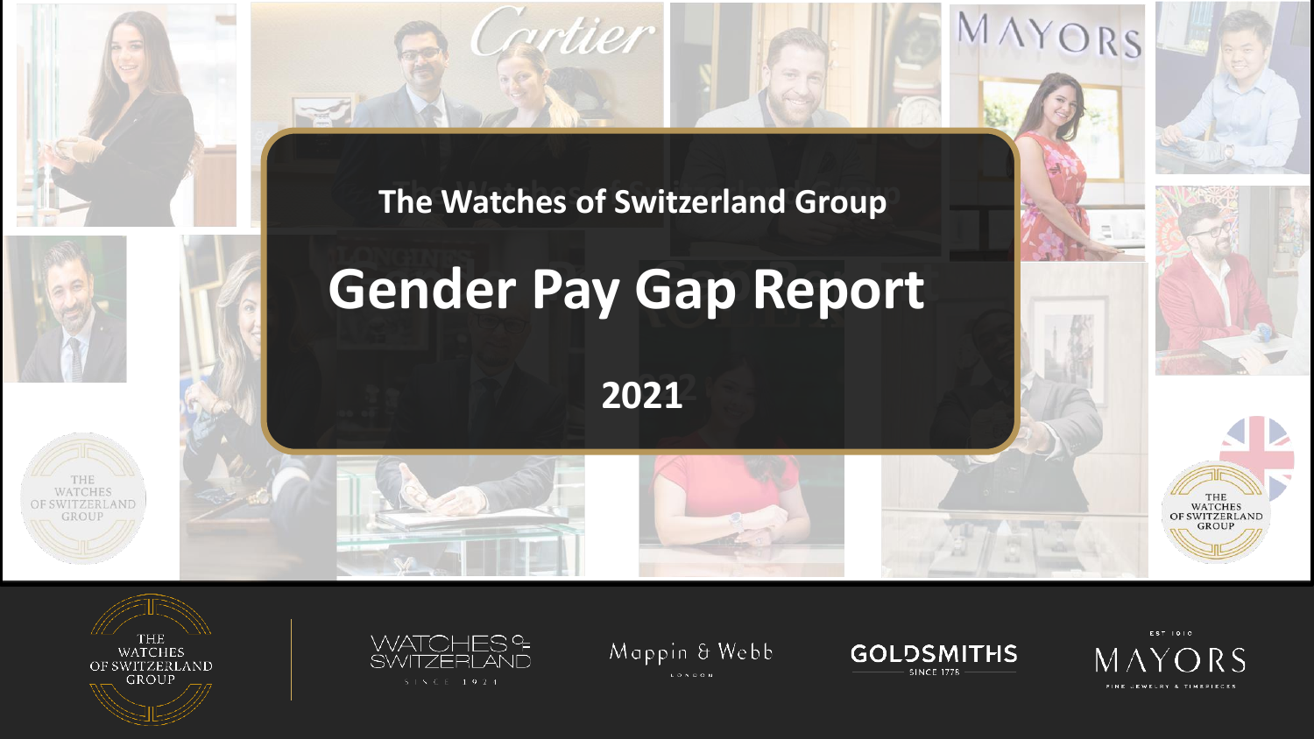









Mappin & Webb LONDON





THE<br>WATCHES

**SWITZERLAND** 

MAYORS

**The Watches of Switzerland Group The Watches of Switzerland Group**

artier

## **Gender Pay Gap Report Gender Pay Gap Report**

**2022 2021**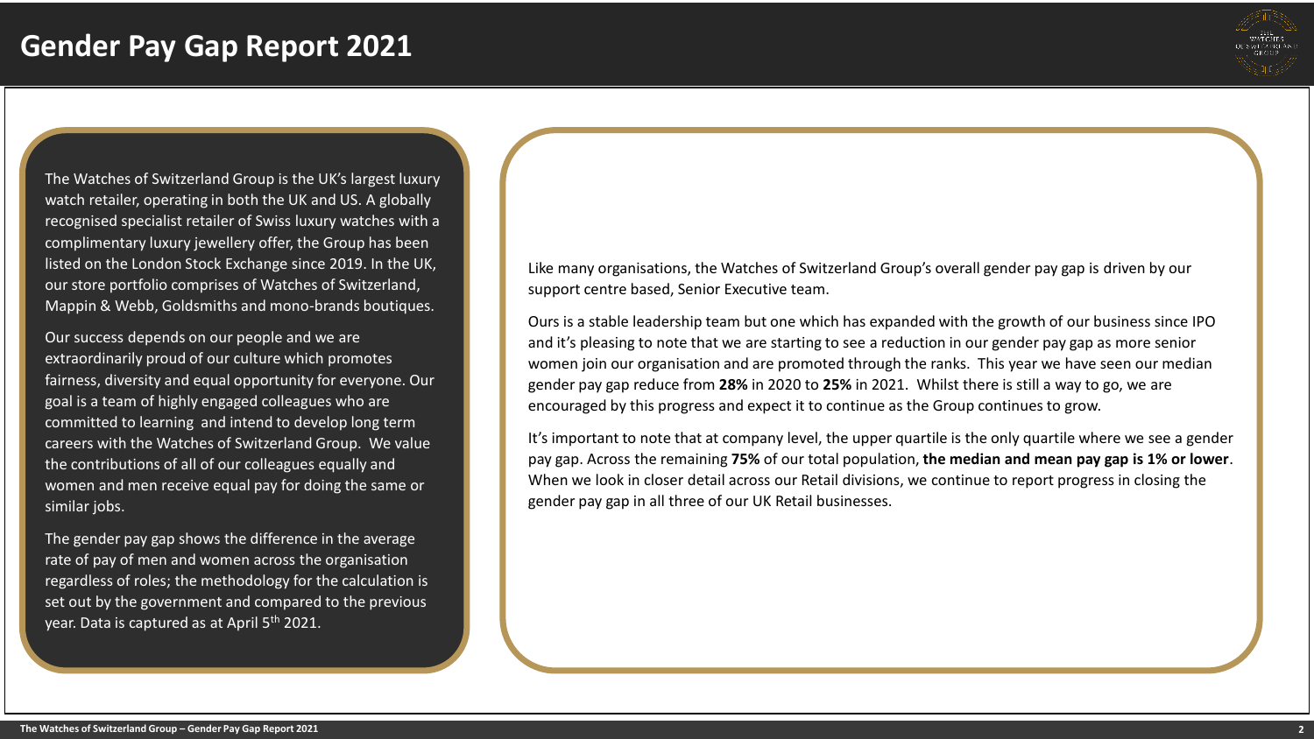

The Watches of Switzerland Group is the UK's largest luxury watch retailer, operating in both the UK and US. A globally recognised specialist retailer of Swiss luxury watches with a complimentary luxury jewellery offer, the Group has been listed on the London Stock Exchange since 2019. In the UK, our store portfolio comprises of Watches of Switzerland, Mappin & Webb, Goldsmiths and mono-brands boutiques.

Our success depends on our people and we are extraordinarily proud of our culture which promotes fairness, diversity and equal opportunity for everyone. Our goal is a team of highly engaged colleagues who are committed to learning and intend to develop long term careers with the Watches of Switzerland Group. We value the contributions of all of our colleagues equally and women and men receive equal pay for doing the same or similar jobs.

The gender pay gap shows the difference in the average rate of pay of men and women across the organisation regardless of roles; the methodology for the calculation is set out by the government and compared to the previous year. Data is captured as at April 5<sup>th</sup> 2021.

Like many organisations, the Watches of Switzerland Group's overall gender pay gap is driven by our support centre based, Senior Executive team.

Ours is a stable leadership team but one which has expanded with the growth of our business since IPO and it's pleasing to note that we are starting to see a reduction in our gender pay gap as more senior women join our organisation and are promoted through the ranks. This year we have seen our median gender pay gap reduce from **28%** in 2020 to **25%** in 2021. Whilst there is still a way to go, we are encouraged by this progress and expect it to continue as the Group continues to grow.

It's important to note that at company level, the upper quartile is the only quartile where we see a gender pay gap. Across the remaining **75%** of our total population, **the median and mean pay gap is 1% or lower**. When we look in closer detail across our Retail divisions, we continue to report progress in closing the gender pay gap in all three of our UK Retail businesses.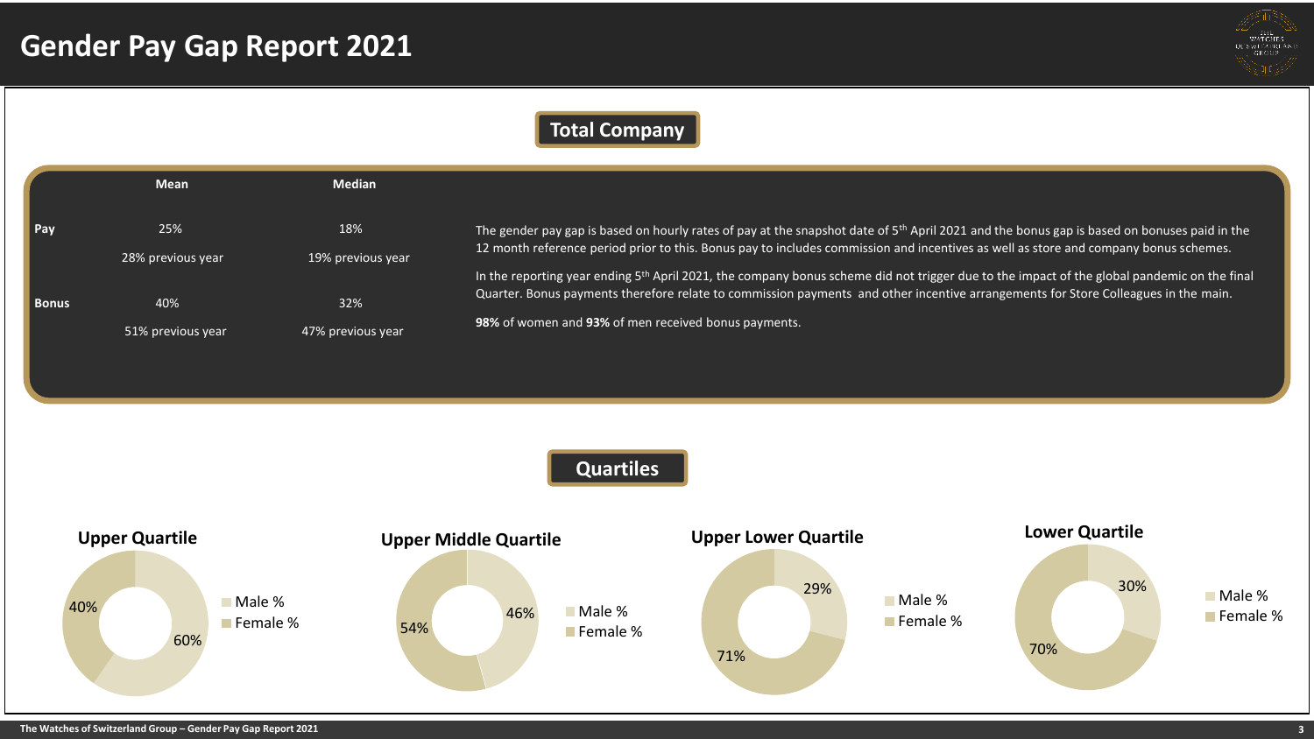

## **Total Company**

|                    | <b>Mean</b>       | <b>Median</b>     |                                                                                                                                                                                                                                                                                                 |
|--------------------|-------------------|-------------------|-------------------------------------------------------------------------------------------------------------------------------------------------------------------------------------------------------------------------------------------------------------------------------------------------|
| $\blacksquare$ Pay | 25%               | 18%               | The gender pay gap is based on hourly rates of pay at the snapshot date of 5 <sup>th</sup> April 2021 and the bonus gap is based on bonuses paid in the<br>12 month reference period prior to this. Bonus pay to includes commission and incentives as well as store and company bonus schemes. |
|                    | 28% previous year | 19% previous year |                                                                                                                                                                                                                                                                                                 |
| <b>Bonus</b>       | 40%               | 32%               | In the reporting year ending 5 <sup>th</sup> April 2021, the company bonus scheme did not trigger due to the impact of the global pandemic on the final<br>Quarter. Bonus payments therefore relate to commission payments and other incentive arrangements for Store Colleagues in the main.   |
|                    | 51% previous year | 47% previous year | 98% of women and 93% of men received bonus payments.                                                                                                                                                                                                                                            |

**Quartiles**

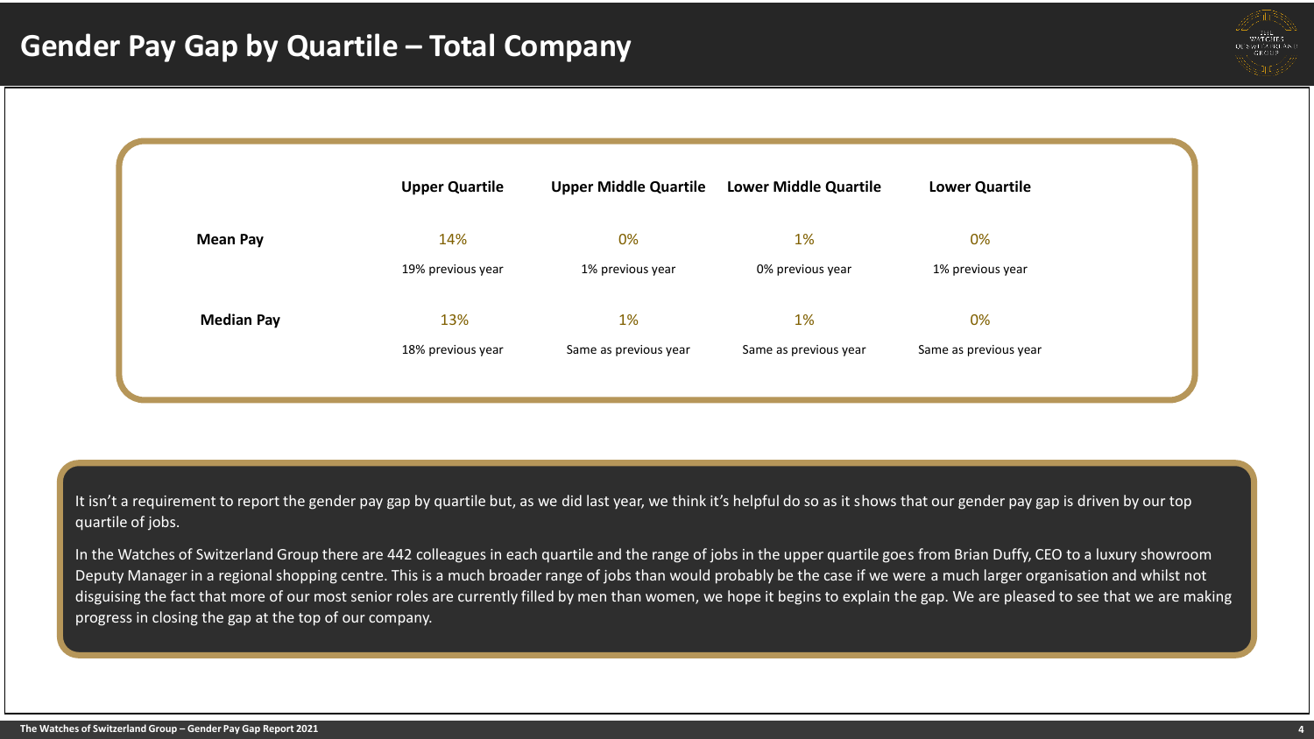



It isn't a requirement to report the gender pay gap by quartile but, as we did last year, we think it's helpful do so as it shows that our gender pay gap is driven by our top quartile of jobs.

In the Watches of Switzerland Group there are 442 colleagues in each quartile and the range of jobs in the upper quartile goes from Brian Duffy, CEO to a luxury showroom Deputy Manager in a regional shopping centre. This is a much broader range of jobs than would probably be the case if we were a much larger organisation and whilst not disguising the fact that more of our most senior roles are currently filled by men than women, we hope it begins to explain the gap. We are pleased to see that we are making progress in closing the gap at the top of our company.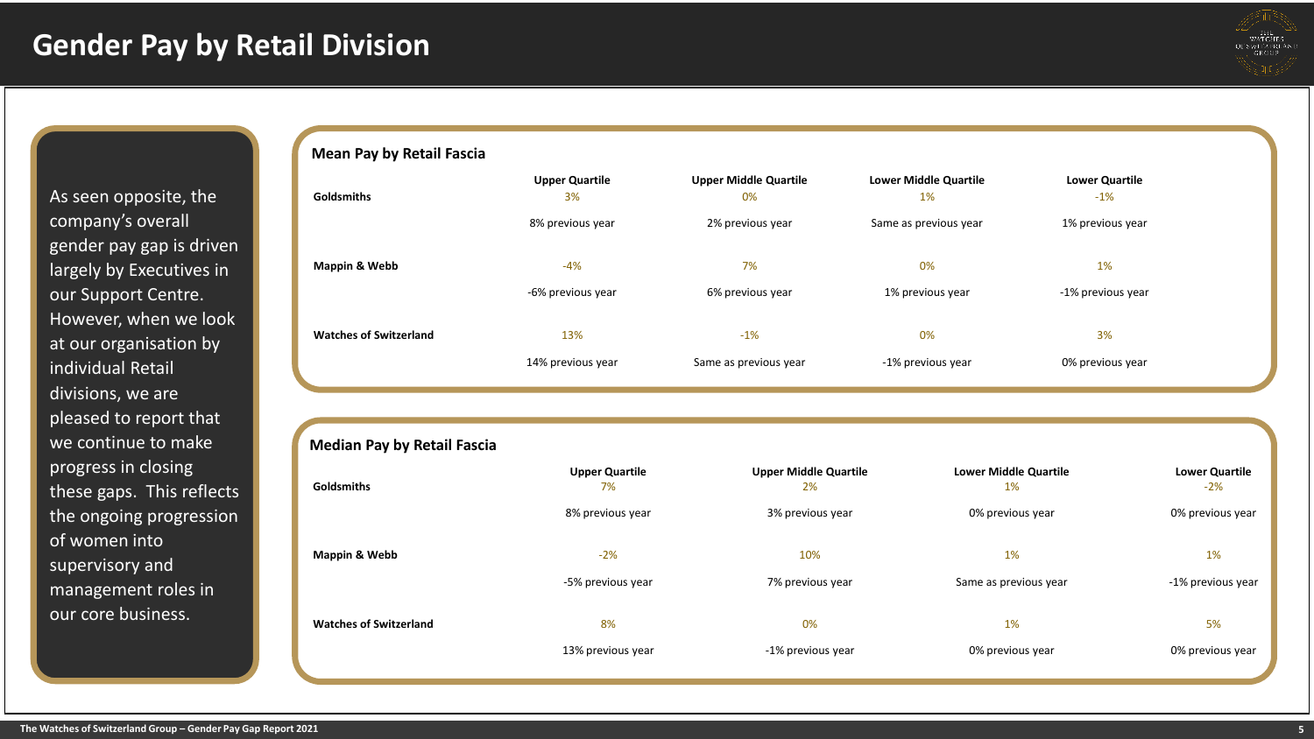

As seen opposite, the company's overall gender pay gap is driven largely by Executives in our Support Centre. However, when we look at our organisation by individual Retail divisions, we are pleased to report that we continue to make progress in closing these gaps. This reflects the ongoing progression of women into supervisory and management roles in our core business.

## **Mean Pay by Retail Fascia**

| <b>Goldsmiths</b>             | <b>Upper Quartile</b><br>3% | <b>Upper Middle Quartile</b><br>0% | <b>Lower Middle Quartile</b><br>$1\%$ | <b>Lower Quartile</b><br>$-1\%$ |  |
|-------------------------------|-----------------------------|------------------------------------|---------------------------------------|---------------------------------|--|
|                               | 8% previous year            | 2% previous year                   | Same as previous year                 | 1% previous year                |  |
| Mappin & Webb                 | -4%                         | 7%                                 | 0%                                    | 1%                              |  |
|                               | -6% previous year           | 6% previous year                   | 1% previous year                      | -1% previous year               |  |
| <b>Watches of Switzerland</b> | 13%                         | $-1%$                              | 0%                                    | 3%                              |  |
|                               | 14% previous year           | Same as previous year              | -1% previous year                     | 0% previous year                |  |

| <b>Goldsmiths</b>             | <b>Upper Quartile</b><br>7% | <b>Upper Middle Quartile</b><br>2% | <b>Lower Middle Quartile</b><br>1% | <b>Lower Quartile</b><br>$-2%$ |
|-------------------------------|-----------------------------|------------------------------------|------------------------------------|--------------------------------|
|                               | 8% previous year            | 3% previous year                   | 0% previous year                   | 0% previous year               |
| Mappin & Webb                 | $-2%$                       | 10%                                | 1%                                 | 1%                             |
|                               | -5% previous year           | 7% previous year                   | Same as previous year              | -1% previous year              |
| <b>Watches of Switzerland</b> | 8%                          | 0%                                 | 1%                                 | 5%                             |
|                               | 13% previous year           | -1% previous year                  | 0% previous year                   | 0% previous year               |